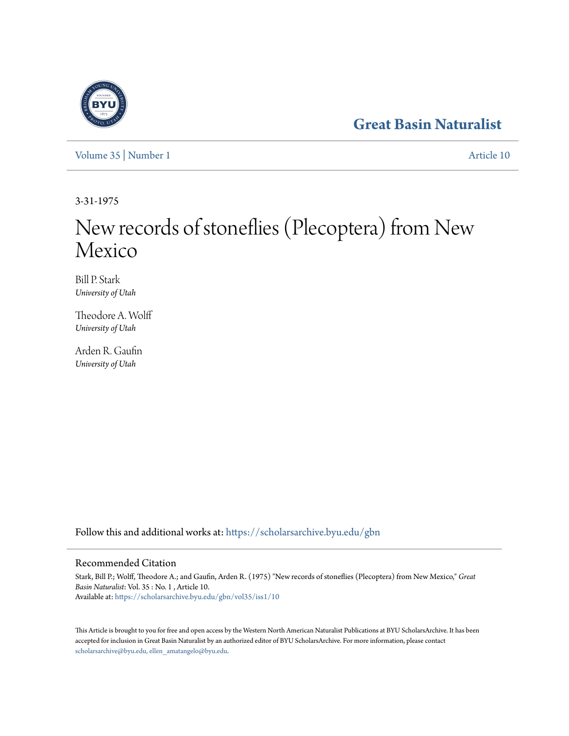## **[Great Basin Naturalist](https://scholarsarchive.byu.edu/gbn?utm_source=scholarsarchive.byu.edu%2Fgbn%2Fvol35%2Fiss1%2F10&utm_medium=PDF&utm_campaign=PDFCoverPages)**

[Volume 35](https://scholarsarchive.byu.edu/gbn/vol35?utm_source=scholarsarchive.byu.edu%2Fgbn%2Fvol35%2Fiss1%2F10&utm_medium=PDF&utm_campaign=PDFCoverPages) | [Number 1](https://scholarsarchive.byu.edu/gbn/vol35/iss1?utm_source=scholarsarchive.byu.edu%2Fgbn%2Fvol35%2Fiss1%2F10&utm_medium=PDF&utm_campaign=PDFCoverPages) [Article 10](https://scholarsarchive.byu.edu/gbn/vol35/iss1/10?utm_source=scholarsarchive.byu.edu%2Fgbn%2Fvol35%2Fiss1%2F10&utm_medium=PDF&utm_campaign=PDFCoverPages)

3-31-1975

# New records of stoneflies (Plecoptera) from New Mexico

Bill P. Stark *University of Utah*

Theodore A. Wolff *University of Utah*

Arden R. Gaufin *University of Utah*

Follow this and additional works at: [https://scholarsarchive.byu.edu/gbn](https://scholarsarchive.byu.edu/gbn?utm_source=scholarsarchive.byu.edu%2Fgbn%2Fvol35%2Fiss1%2F10&utm_medium=PDF&utm_campaign=PDFCoverPages)

### Recommended Citation

Stark, Bill P.; Wolff, Theodore A.; and Gaufin, Arden R. (1975) "New records of stoneflies (Plecoptera) from New Mexico," *Great Basin Naturalist*: Vol. 35 : No. 1 , Article 10. Available at: [https://scholarsarchive.byu.edu/gbn/vol35/iss1/10](https://scholarsarchive.byu.edu/gbn/vol35/iss1/10?utm_source=scholarsarchive.byu.edu%2Fgbn%2Fvol35%2Fiss1%2F10&utm_medium=PDF&utm_campaign=PDFCoverPages)

This Article is brought to you for free and open access by the Western North American Naturalist Publications at BYU ScholarsArchive. It has been accepted for inclusion in Great Basin Naturalist by an authorized editor of BYU ScholarsArchive. For more information, please contact [scholarsarchive@byu.edu, ellen\\_amatangelo@byu.edu.](mailto:scholarsarchive@byu.edu,%20ellen_amatangelo@byu.edu)

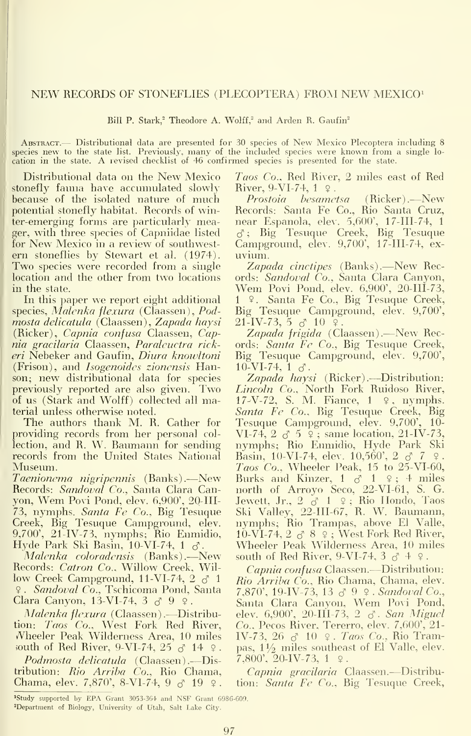#### NEW RECORDS OF STONEFLIES (PLECOPTERA) FROM NEW MEXICO^

Bill P. Stark,<sup>2</sup> Theodore A. Wolff,<sup>2</sup> and Arden R. Gaufin<sup>2</sup>

ABSTRACT.— Distributional data are presented for 30 species of New Mexico Plecoptera including 8 species new to the state list. Previously, many of the included species were known from a single location in the state. A revised checklist of <sup>46</sup> confirmed species is presented for the state.

Distributional data on the New Mexico stonefly fauna have accumulated slowly because of the isolated nature of much potential stonefly habitat. Records of winter-emerging forms are particularly meager, with three species of Capniidae listed for New Mexico in a review of southwest-<br>ern stoneflies by Stewart et al. (1974). Two species were recorded from a single location and the other from two locations in the state.

In this paper we report eight additional species, Malenka flexura (Claassen), Pod mosta delicatula (Claassen), Zapada haysi (Ricker), Capnia confusa Claassen, Capnia gracilaria Claassen, Paraleuctra rickeri Nebeker and Gaufin, *Diura knowltoni* Big Tesuque (<br>(Frison), and *Isogenoides zionensis* Han- 10-VI-74, 1  $\sigma$ . (Frison), and Isogenoides zionensis Hanson; new distributional data for species Zapada haysi (Ricker).---Distribution: previously reported are also given. Two of us (Stark and Wolff) collected all material unless otherwise noted.

The authors thank M. R. Cather for providing records from her personal col lection, and R. W. Raumann for sending records from the United States National Museum.

Taenionema nigripennis (Banks).—New Records: Sandoval Co., Santa Clara Canyon, Wem Povi Pond, elev. 6,900', 20-III-73, nymphs. Santa Fe Co., Big Tesuque Creek, Rig Tesuque Campground, elev. 9,700', 21-IV-73, nymphs; Rio Enmidio, Hyde Park Ski Rasin, lO-VI-74, <sup>1</sup> d^.

Malenka coloradensis (Banks).—New Records: Catron Co., Willow Creek, Wil low Creek Campground, 11-VI-74,  $2 \delta$  1 ? . Sandoval Co., Tschicoma Pond, Santa Clara Canyon, 13-VI-74, 3  $\delta$  9  $\circ$ .

Malenka flexura (Claassen).—Distribution: Taos Co., West Fork Red River, A^heeler Peak Wilderness Area, 10 miles south of Red River, 9-VI-74, 25  $\sigma$  14  $\Omega$ .

Podmosta delicatula (Claassen).—Distribution: Rio Arriba Co., Rio Chama, Chama, elev. 7,870', 8-VI-74, 9  $\sigma$  19  $\circ$ .

Taos Co., Red River, 2 miles east of Red River, 9-VI-74,  $1 \Omega$ .

Prostoia hesametsa (Ricker).—New Records: Santa Fe Co., Rio Santa Cruz, near Espanola, elev. 5,600', 17-III-74, <sup>1</sup>  $\sigma$ ; Big Tesuque Creek, Big Tesuque Campground, elev. 9,700', 17-III-74, ex uvium.

Zapada cinctipes (Banks).—New Records: Sandoval Co., Santa Clara Canyon, Wem Povi Pond, elev. 6,900', 20-111-73, <sup>1</sup> <sup>9</sup> . Santa Fe Co., Rig Tesuque Creek, Rig Tesuque Campground, elev. 9,700',  $21$ -IV-73, 5  $\sigma$  10  $\Omega$ 

Zapada frigida (Claassen).—New Records: Santa Fe Co., Rig Tesuque Creek, Rig Tesuque Campground, elev. 9,700',

Lincoln Co., North Fork Ruidoso River, 17-V-72, S. M. Fiance, <sup>1</sup> 9, nymphs. S*anta Fe Co.*, Big Tesuque Creek, Big<br>Tesuque Campground, elev. 9,700', 10-Tesuque Campground, elev. 9,700', VI-74, 2  $\,\sigma$  5  $\,$  9 ; same location, 21-IV-73. nymphs; Rio Enmidio, Hyde Park Ski Basin, 10-VI-74, elev. 10,560',  $2 \, \text{c}^7 \, 7 \, \text{c}$ . Taos Co., Wheeler Peak,  $15$  to  $25$ -VI-60, Burks and Kinzer,  $1 \, \delta \, 1 \, \varphi$ ;  $4 \, \text{miles}$ north of Arroyo Seco, 22-V1-61, S. G.<br>Jewett, Jr., 2 ♂ 1 ♀; Rio Hondo, Taos Ski Valley, 22-III-67, R. W. Baumann, nymphs; Rio Trampas, above El Valle, lO-VI-74, 2 c^ 8 <sup>9</sup> ; West Fork Red River, Wheeler Peak Wilderness Area, 10 miles south of Red River, 9-VI-74,  $3 \delta + 9$ .

Capnia confusa Claassen.—Distribution: Rio Arriba Co., Rio Chama, Chama, elev. 7,870', 19-IV-73, 13 & 9 \, Sandoval Co., Santa Clara Canyon, Wem Povi Pond, elev. 6,900', 20-III-73, 2 & San Miguel Co., Pecos River, Tererro, elev. 7,600', 21- IV-73, 26  $\sigma$  10  $\varphi$ . Taos Co., Rio Trampas,  $1\frac{1}{2}$  miles southeast of El Valle, elev.  $7,800$ ',  $20$ -IV-73, 1  $9$ .

Capnia gracilaria Claassen.—Distribution: Santa Fe Co., Big Tesuque Creek,

Study supported by EPA Grant 3053-3G4 and NSF Grant G98G-600. Department of Biology, University of Utah, Salt Lake City.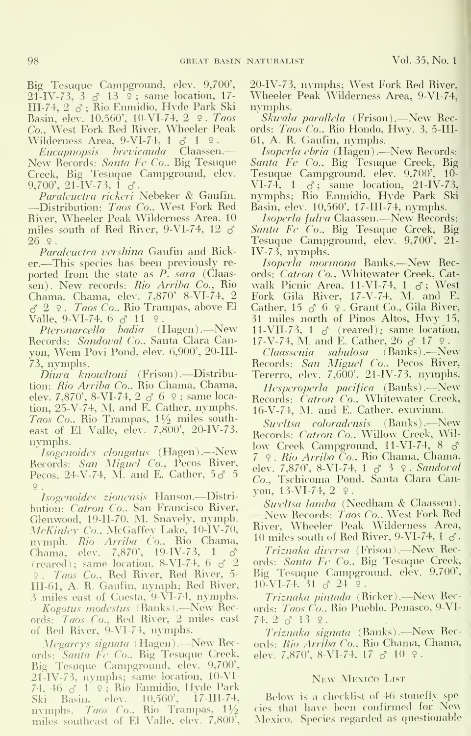Big Tesuque Campground, elev. 9,700',  $21$ -IV-73,  $3 \, \sigma$  13  $\circ$ ; same location, 17-III-74, 2 &; Rio Enmidio, Hyde Park Ski Basin, elev. 10,560', 10-VI-74, 2 9. Taos Co., West Fork Red River, Wheeler Peak Wilderness Area, 9-VI-74,  $1 \delta$  1  $\div$ .

New Records: Santa Fe Co.. Big Tesuque

9,700', 21-IV-73, 1 3'.<br>Paraleuctra rickeri Nebeker & Gaufin. – nyn<br>—Distribution: *Taos Co..* West Fork Red Basi River, Wheeler Peak Wilderness Area, 10 *Isoperla fulva* Claassen.—New Records: miles south of Red River, 9-VI-74, 12  $\delta$  $26$   $9$ .

Paralcuctra vershina Gaufin and Ricker. —This species has been previously re ported from the state as  $P^{\uparrow}$  sara (Claassen). New records: Rio Arriba Co., Rio Chama, Chama, elev. 7,870' 8-VI-74, 2  $c_1$  2  $\Omega$ . Taos Co., Rio Trampas, above El Valle, 9-VI-74,  $6 \circ 11$  ?

Pteronarcella badia (Hagen).—New Records: Sandoval Co.. Santa Clara Canyon, Wem Povi Pond, elev. 6,900', 20-III-73, nymphs.

Diura knowltoni (Frison).—Distribution: Rio Arriba Co.. Rio Chama, Chama, elev. 7,870', 8-VI-74, 2 d' 6 <sup>9</sup> ; same location, 25-V-74, M. and E. Cather, nymphs. Taos Co., Rio Trampas,  $1\frac{1}{2}$  miles southeast of El Valle, elev. 7,800', 20-IV-73, nymphs.

Isogenoides elongatus (Hagen).—New^ Records: San Miguel Co., Pecos River, Pecos, 24-V-74, M. and E. Cather,  $5\delta$  5  $9.$ 

Isogenoides zionensis Hanson.—Distri- 1900, 1903 1904, 2004.<br>tioni Catron Co, San Francisco Biyer — Sweltsa lamba (Needham & Claassen). bution: Catron Co.. San Francisco River, Glenwood, 19-11-70, M. Suavely, nymph. McKinley Co., McGaffey Lake, 10-IV-70, nymph. Rio Arriba Co.. Rio Chama, Chama, elev. 7,870', 19-IV-73, 1 & (reared) ; same location, 8-VI-74, 6 cT 2 <sup>9</sup> . Taos Co.. Red River, Red River, 5- III-61, A. R. Gaufin, nymph; Red River, 3 miles east of Cuesta, 9-VI-74, nymphs.

S miles east of Citesta, 9-v1-7-r, hympis.<br>Kogotus modestus (Banks).—New Rec-<br>ords: *Taos Co.*, Red River, 2 miles east 74. of Red River, 9-VI-74, nymphs.

Megarcys signata (Hagen).-New Records: Santa Fe Co.. Big Tesuque Creek, Big Tesuque Campground, elev. 9,700', 21-IV-73, nymphs; same location, 10-VI- $74, 46$   $3$  1  $9$ ; Rio Enmidio, Hyde Park<br>Ski Basin, elev. 10,560', 17-III-74, Ski Basin, elev. 10,560', nymphs. Taos Co., Rio Trampas,  $1\frac{1}{2}$ miles southeast of El Valle, elev. 7,800',

20-IV-73, nymphs; West Fork Red River. Wheeler Peak Wilderness Area, 9-VI-74, nymphs.

skwala parallela (Frison).—New Rec-<br>Skwala parallela (Frison).—New Records: *Taos Co.*, Rio Hondo, Hwy. 3, 5-III-61, A. R. Ciaufin, nymphs.

Eucapnopsis brevicauda Claassen.— Isoperla ebria (Hagen).—New Records: Santa Fe Co., Big Tesuque Santa Fe Co., Big Tesuque Creek, Big Creek, Big Tesuque Campground, elev. Isoperla ebria (Hagen).-New Records: Tesuque Campground, elev. 9,700', 10 nymphs; Rio Enmidio, Hyde Park Ski Basin, elev. 10,560', 17-III-74, nymphs.

> Santa Fe Co., Big Tesuque Creek, Big Tesuque Campground, elev. 9,700', 21- IV-73, nymphs.

> Isoperla mormona Banks.—New Records: Catron Co.. Whitewater Creek, Cat walk Picnic Area, 11-VI-74, 1  $\sigma$ ; West Fork Gila River, 17-V-74, M. and E. Cather, 15  $\sigma$  6  $\phi$ . Grant Co., Gila River, <sup>31</sup> miles north of Pinos Altos, Hwy 15, 11-VII-73, 1  $\sigma$  (reared); same location, 17-V-74, M. and E. Cather,  $26 \, \delta$  17  $\,$ .

> Claassenia sabulosa (Banks).—New Records: San Miguel Co.. Pecos River, Tererro, elev. 7,600', 21-IV-73, nymphs.

> Hesperoperla pacifica (Banks).—New Records: Catron Co.. Whitewater Creek, 16-V-74, M. and E. Cather, exuvium.

> Sweltsa coloradensis (Banks).—New Records: Catron Co., Willow Creek, Wil low Creek Campground, 11-VI-74, 8 & <sup>7</sup> <sup>9</sup> . Rio Arriba Co.. Rio Chama, Chama, elev. 7,870', 8-VI-74, 1 & 3 º. Sandoval Co., Tschicoma Pond. Santa Clara Canyon,  $13-VI-74$ ,  $2 \div$

> New Records: *Taos Co.*, West Fork Red River, Wheeler Peak Wilderness Area, 10 miles south of Red River, 9-VI-74, 1  $\sigma$ .

> Triznaka diversa (Frison).—New Records: Santa Fe Co.. Big Tesuque Creek, Big Tesuque Campground, elev. 9,700',  $10$ -VI-74, 31  $\sigma$  24  $\circ$ .

> Triznaka pintada (Bicker).—New Records: Taos Co.. Rio Pueblo, Penasco, 9-VI- $74.2 \, \delta \, 13 \, 9.$

> Triznaka signata (Banks).—New Records: Rio Arriba Co.. Rio Chama, Chama, elev. 7,870', 8-VI-74, 17  $\delta$  10  $\circ$ .

#### NEW MEXICO LIST

Below is <sup>a</sup> checklist of 46 stonefly species that have been confirmed for New Mexico. Species regarded as questionable